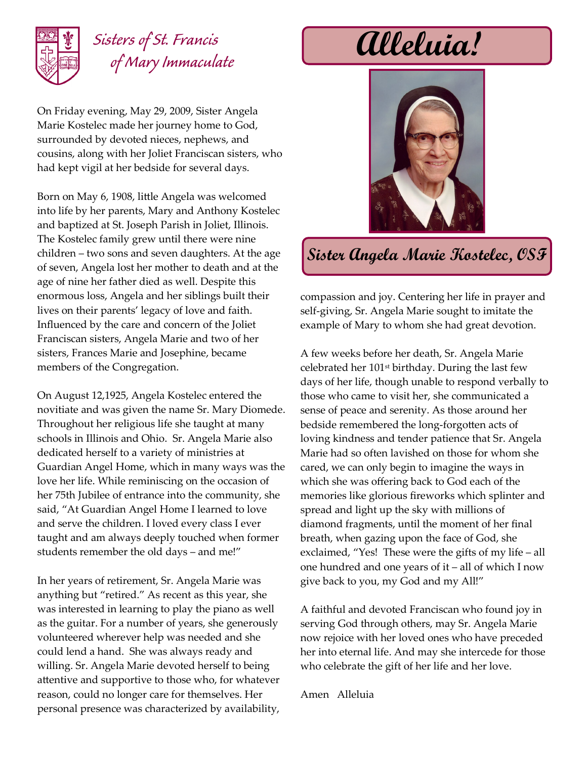

## *Sisters of St. Francis of Mary Immaculate*

On Friday evening, May 29, 2009, Sister Angela Marie Kostelec made her journey home to God, surrounded by devoted nieces, nephews, and cousins, along with her Joliet Franciscan sisters, who had kept vigil at her bedside for several days.

Born on May 6, 1908, little Angela was welcomed into life by her parents, Mary and Anthony Kostelec and baptized at St. Joseph Parish in Joliet, Illinois. The Kostelec family grew until there were nine children – two sons and seven daughters. At the age of seven, Angela lost her mother to death and at the age of nine her father died as well. Despite this enormous loss, Angela and her siblings built their lives on their parents' legacy of love and faith. Influenced by the care and concern of the Joliet Franciscan sisters, Angela Marie and two of her sisters, Frances Marie and Josephine, became members of the Congregation.

On August 12,1925, Angela Kostelec entered the novitiate and was given the name Sr. Mary Diomede. Throughout her religious life she taught at many schools in Illinois and Ohio. Sr. Angela Marie also dedicated herself to a variety of ministries at Guardian Angel Home, which in many ways was the love her life. While reminiscing on the occasion of her 75th Jubilee of entrance into the community, she said, "At Guardian Angel Home I learned to love and serve the children. I loved every class I ever taught and am always deeply touched when former students remember the old days – and me!"

In her years of retirement, Sr. Angela Marie was anything but "retired." As recent as this year, she was interested in learning to play the piano as well as the guitar. For a number of years, she generously volunteered wherever help was needed and she could lend a hand. She was always ready and willing. Sr. Angela Marie devoted herself to being attentive and supportive to those who, for whatever reason, could no longer care for themselves. Her personal presence was characterized by availability,

**Alleluia!**



**Sister Angela Marie Kostelec, OSF**

compassion and joy. Centering her life in prayer and self-giving, Sr. Angela Marie sought to imitate the example of Mary to whom she had great devotion.

A few weeks before her death, Sr. Angela Marie celebrated her 101st birthday. During the last few days of her life, though unable to respond verbally to those who came to visit her, she communicated a sense of peace and serenity. As those around her bedside remembered the long-forgotten acts of loving kindness and tender patience that Sr. Angela Marie had so often lavished on those for whom she cared, we can only begin to imagine the ways in which she was offering back to God each of the memories like glorious fireworks which splinter and spread and light up the sky with millions of diamond fragments, until the moment of her final breath, when gazing upon the face of God, she exclaimed, "Yes! These were the gifts of my life – all one hundred and one years of it – all of which I now give back to you, my God and my All!"

A faithful and devoted Franciscan who found joy in serving God through others, may Sr. Angela Marie now rejoice with her loved ones who have preceded her into eternal life. And may she intercede for those who celebrate the gift of her life and her love.

Amen Alleluia